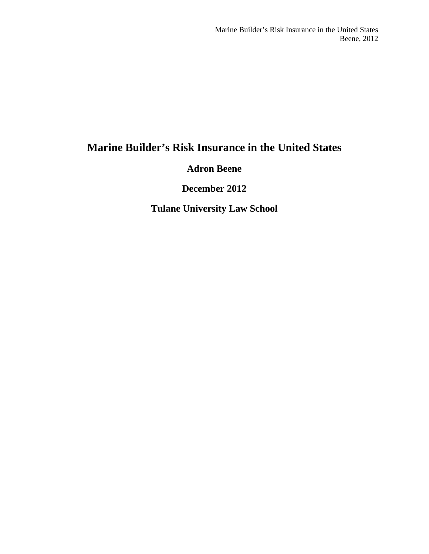# **Marine Builder's Risk Insurance in the United States**

## **Adron Beene**

**December 2012**

**Tulane University Law School**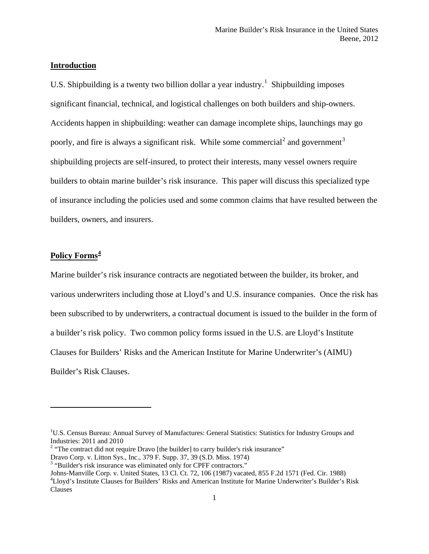#### **Introduction**

U.S. Shipbuilding is a twenty two billion dollar a year industry.<sup>[1](#page-1-0)</sup> Shipbuilding imposes significant financial, technical, and logistical challenges on both builders and ship-owners. Accidents happen in shipbuilding: weather can damage incomplete ships, launchings may go poorly, and fire is always a significant risk. While some commercial<sup>[2](#page-1-1)</sup> and government<sup>[3](#page-1-2)</sup> shipbuilding projects are self-insured, to protect their interests, many vessel owners require builders to obtain marine builder's risk insurance. This paper will discuss this specialized type of insurance including the policies used and some common claims that have resulted between the builders, owners, and insurers.

### **Policy Forms[4](#page-1-3)**

 $\overline{\phantom{a}}$ 

Marine builder's risk insurance contracts are negotiated between the builder, its broker, and various underwriters including those at Lloyd's and U.S. insurance companies. Once the risk has been subscribed to by underwriters, a contractual document is issued to the builder in the form of a builder's risk policy. Two common policy forms issued in the U.S. are Lloyd's Institute Clauses for Builders' Risks and the American Institute for Marine Underwriter's (AIMU) Builder's Risk Clauses.

<span id="page-1-0"></span><sup>&</sup>lt;sup>1</sup>U.S. Census Bureau: Annual Survey of Manufactures: General Statistics: Statistics for Industry Groups and Industries: 2011 and 2010

<span id="page-1-1"></span><sup>&</sup>lt;sup>2</sup> "The contract did not require Dravo [the builder] to carry builder's risk insurance"

Dravo Corp. v. Litton Sys., Inc., 379 F. Supp. 37, 39 (S.D. Miss. 1974)

<span id="page-1-2"></span><sup>&</sup>lt;sup>3</sup> "Builder's risk insurance was eliminated only for CPFF contractors."

<span id="page-1-3"></span>Johns-Manville Corp. v. United States, 13 Cl. Ct. 72, 106 (1987) vacated, 855 F.2d 1571 (Fed. Cir. 1988) <sup>4</sup> Lloyd's Institute Clauses for Builders' Risks and American Institute for Marine Underwriter's Builder's Risk Clauses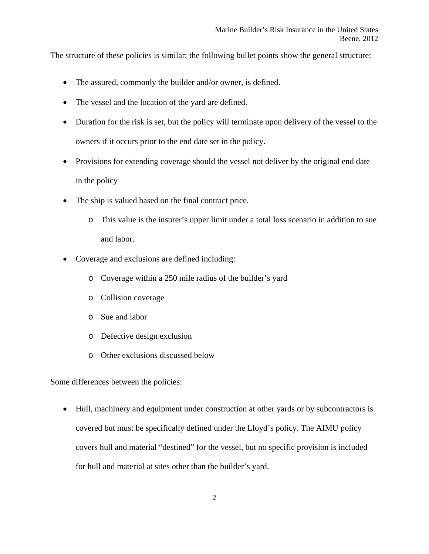The structure of these policies is similar; the following bullet points show the general structure:

- The assured, commonly the builder and/or owner, is defined.
- The vessel and the location of the yard are defined.
- Duration for the risk is set, but the policy will terminate upon delivery of the vessel to the owners if it occurs prior to the end date set in the policy.
- Provisions for extending coverage should the vessel not deliver by the original end date in the policy
- The ship is valued based on the final contract price.
	- o This value is the insurer's upper limit under a total loss scenario in addition to sue and labor.
- Coverage and exclusions are defined including:
	- o Coverage within a 250 mile radius of the builder's yard
	- o Collision coverage
	- o Sue and labor
	- o Defective design exclusion
	- o Other exclusions discussed below

Some differences between the policies:

• Hull, machinery and equipment under construction at other yards or by subcontractors is covered but must be specifically defined under the Lloyd's policy. The AIMU policy covers hull and material "destined" for the vessel, but no specific provision is included for hull and material at sites other than the builder's yard.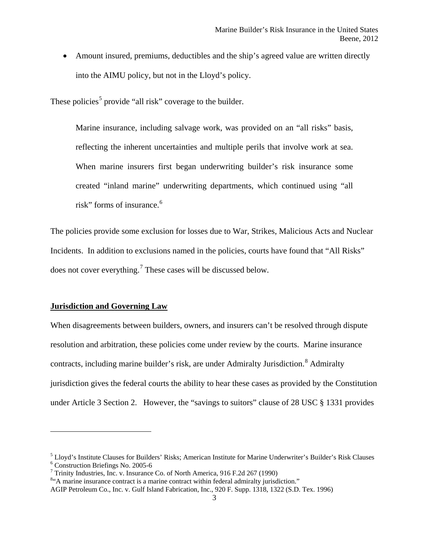• Amount insured, premiums, deductibles and the ship's agreed value are written directly into the AIMU policy, but not in the Lloyd's policy.

These policies<sup>[5](#page-3-0)</sup> provide "all risk" coverage to the builder.

Marine insurance, including salvage work, was provided on an "all risks" basis, reflecting the inherent uncertainties and multiple perils that involve work at sea. When marine insurers first began underwriting builder's risk insurance some created "inland marine" underwriting departments, which continued using "all risk" forms of insurance. [6](#page-3-1)

The policies provide some exclusion for losses due to War, Strikes, Malicious Acts and Nuclear Incidents. In addition to exclusions named in the policies, courts have found that "All Risks" does not cover everything.<sup>[7](#page-3-2)</sup> These cases will be discussed below.

#### **Jurisdiction and Governing Law**

 $\overline{\phantom{a}}$ 

When disagreements between builders, owners, and insurers can't be resolved through dispute resolution and arbitration, these policies come under review by the courts. Marine insurance contracts, including marine builder's risk, are under Admiralty Jurisdiction.<sup>[8](#page-3-3)</sup> Admiralty jurisdiction gives the federal courts the ability to hear these cases as provided by the Constitution under Article 3 Section 2. However, the "savings to suitors" clause of 28 USC § 1331 provides

<span id="page-3-1"></span><span id="page-3-0"></span><sup>&</sup>lt;sup>5</sup> Lloyd's Institute Clauses for Builders' Risks; American Institute for Marine Underwriter's Builder's Risk Clauses <sup>6</sup> Construction Briefings No. 2005-6<br><sup>7</sup> Trinity Industries, Inc. v. Insurance Co. of North America, 9

<span id="page-3-2"></span>

<span id="page-3-3"></span><sup>&</sup>lt;sup>8</sup>"A marine insurance contract is a marine contract within federal admiralty jurisdiction."

AGIP Petroleum Co., Inc. v. Gulf Island Fabrication, Inc., 920 F. Supp. 1318, 1322 (S.D. Tex. 1996)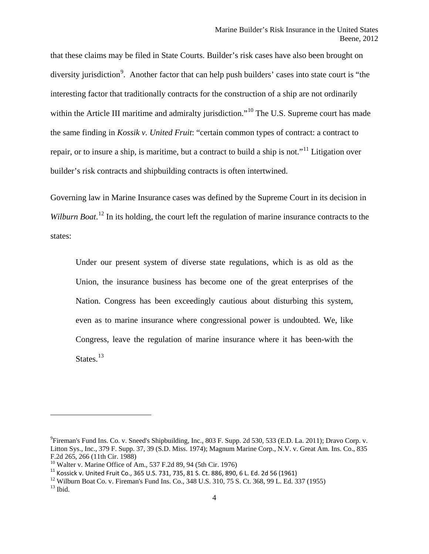that these claims may be filed in State Courts. Builder's risk cases have also been brought on diversity jurisdiction<sup>[9](#page-4-0)</sup>. Another factor that can help push builders' cases into state court is "the interesting factor that traditionally contracts for the construction of a ship are not ordinarily within the Article III maritime and admiralty jurisdiction."<sup>[10](#page-4-1)</sup> The U.S. Supreme court has made the same finding in *Kossik v. United Fruit*: "certain common types of contract: a contract to repair, or to insure a ship, is maritime, but a contract to build a ship is not."[11](#page-4-2) Litigation over builder's risk contracts and shipbuilding contracts is often intertwined.

Governing law in Marine Insurance cases was defined by the Supreme Court in its decision in Wilburn Boat.<sup>[12](#page-4-3)</sup> In its holding, the court left the regulation of marine insurance contracts to the states:

Under our present system of diverse state regulations, which is as old as the Union, the insurance business has become one of the great enterprises of the Nation. Congress has been exceedingly cautious about disturbing this system, even as to marine insurance where congressional power is undoubted. We, like Congress, leave the regulation of marine insurance where it has been-with the States.<sup>[13](#page-4-4)</sup>

<span id="page-4-0"></span><sup>&</sup>lt;sup>9</sup>Fireman's Fund Ins. Co. v. Sneed's Shipbuilding, Inc., 803 F. Supp. 2d 530, 533 (E.D. La. 2011); Dravo Corp. v. Litton Sys., Inc., 379 F. Supp. 37, 39 (S.D. Miss. 1974); Magnum Marine Corp., N.V. v. Great Am. Ins. Co., 835 F.2d 265, 266 (11th Cir. 1988)<br><sup>10</sup> Walter v. Marine Office of Am., 537 F.2d 89, 94 (5th Cir. 1976)

<span id="page-4-4"></span>

<span id="page-4-3"></span><span id="page-4-2"></span><span id="page-4-1"></span><sup>&</sup>lt;sup>11</sup> Kossick v. United Fruit Co., 365 U.S. 731, 735, 81 S. Ct. 886, 890, 6 L. Ed. 2d 56 (1961)<br><sup>12</sup> Wilburn Boat Co. v. Fireman's Fund Ins. Co., 348 U.S. 310, 75 S. Ct. 368, 99 L. Ed. 337 (1955)<br><sup>13</sup> Ibid.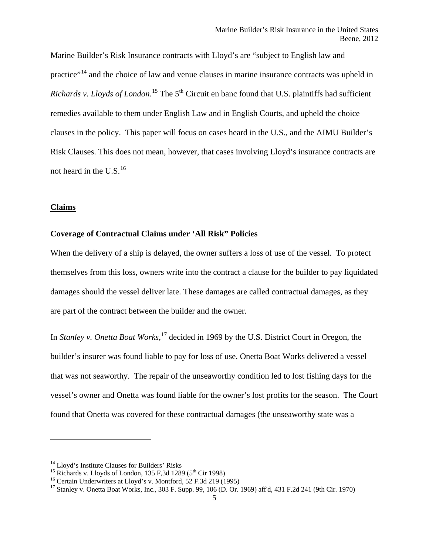Marine Builder's Risk Insurance contracts with Lloyd's are "subject to English law and practice"<sup>[14](#page-5-0)</sup> and the choice of law and venue clauses in marine insurance contracts was upheld in Richards v. Lloyds of London.<sup>[15](#page-5-1)</sup> The 5<sup>th</sup> Circuit en banc found that U.S. plaintiffs had sufficient remedies available to them under English Law and in English Courts, and upheld the choice clauses in the policy. This paper will focus on cases heard in the U.S., and the AIMU Builder's Risk Clauses. This does not mean, however, that cases involving Lloyd's insurance contracts are not heard in the U.S. $^{16}$  $^{16}$  $^{16}$ 

#### **Claims**

 $\overline{\phantom{a}}$ 

#### **Coverage of Contractual Claims under 'All Risk" Policies**

When the delivery of a ship is delayed, the owner suffers a loss of use of the vessel. To protect themselves from this loss, owners write into the contract a clause for the builder to pay liquidated damages should the vessel deliver late. These damages are called contractual damages, as they are part of the contract between the builder and the owner.

In *Stanley v. Onetta Boat Works*, [17](#page-5-3) decided in 1969 by the U.S. District Court in Oregon, the builder's insurer was found liable to pay for loss of use. Onetta Boat Works delivered a vessel that was not seaworthy. The repair of the unseaworthy condition led to lost fishing days for the vessel's owner and Onetta was found liable for the owner's lost profits for the season. The Court found that Onetta was covered for these contractual damages (the unseaworthy state was a

<span id="page-5-1"></span>

<span id="page-5-3"></span><span id="page-5-2"></span>

<span id="page-5-0"></span><sup>&</sup>lt;sup>14</sup> Lloyd's Institute Clauses for Builders' Risks<br>
<sup>15</sup> Richards v. Lloyds of London, 135 F,3d 1289 (5<sup>th</sup> Cir 1998)<br>
<sup>16</sup> Certain Underwriters at Lloyd's v. Montford, 52 F.3d 219 (1995)<br>
<sup>17</sup> Stanley v. Onetta Boat Work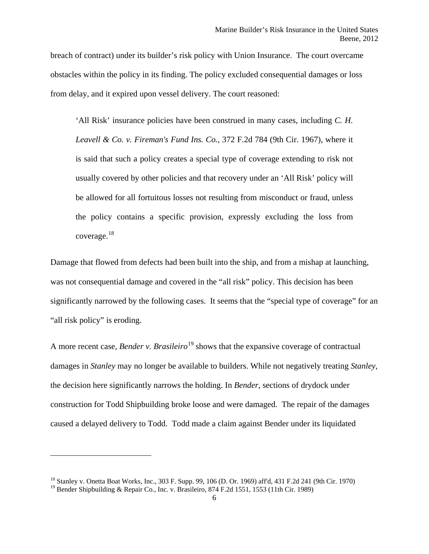breach of contract) under its builder's risk policy with Union Insurance. The court overcame obstacles within the policy in its finding. The policy excluded consequential damages or loss from delay, and it expired upon vessel delivery. The court reasoned:

'All Risk' insurance policies have been construed in many cases, including *C. H. Leavell & Co. v. Fireman's Fund Ins. Co.*, 372 F.2d 784 (9th Cir. 1967), where it is said that such a policy creates a special type of coverage extending to risk not usually covered by other policies and that recovery under an 'All Risk' policy will be allowed for all fortuitous losses not resulting from misconduct or fraud, unless the policy contains a specific provision, expressly excluding the loss from coverage.[18](#page-6-0)

Damage that flowed from defects had been built into the ship, and from a mishap at launching, was not consequential damage and covered in the "all risk" policy. This decision has been significantly narrowed by the following cases. It seems that the "special type of coverage" for an "all risk policy" is eroding.

A more recent case, *Bender v. Brasileiro*<sup>[19](#page-6-1)</sup> shows that the expansive coverage of contractual damages in *Stanley* may no longer be available to builders. While not negatively treating *Stanley*, the decision here significantly narrows the holding. In *Bender*, sections of drydock under construction for Todd Shipbuilding broke loose and were damaged. The repair of the damages caused a delayed delivery to Todd. Todd made a claim against Bender under its liquidated

<span id="page-6-0"></span><sup>18</sup> Stanley v. Onetta Boat Works, Inc., 303 F. Supp. 99, 106 (D. Or. 1969) aff'd, 431 F.2d 241 (9th Cir. 1970)

<span id="page-6-1"></span><sup>&</sup>lt;sup>19</sup> Bender Shipbuilding & Repair Co., Inc. v. Brasileiro, 874 F.2d 1551, 1553 (11th Cir. 1989)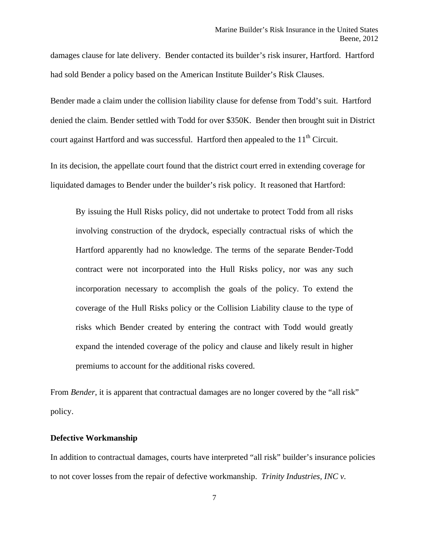damages clause for late delivery. Bender contacted its builder's risk insurer, Hartford. Hartford had sold Bender a policy based on the American Institute Builder's Risk Clauses.

Bender made a claim under the collision liability clause for defense from Todd's suit. Hartford denied the claim. Bender settled with Todd for over \$350K. Bender then brought suit in District court against Hartford and was successful. Hartford then appealed to the  $11<sup>th</sup>$  Circuit.

In its decision, the appellate court found that the district court erred in extending coverage for liquidated damages to Bender under the builder's risk policy. It reasoned that Hartford:

By issuing the Hull Risks policy, did not undertake to protect Todd from all risks involving construction of the drydock, especially contractual risks of which the Hartford apparently had no knowledge. The terms of the separate Bender-Todd contract were not incorporated into the Hull Risks policy, nor was any such incorporation necessary to accomplish the goals of the policy. To extend the coverage of the Hull Risks policy or the Collision Liability clause to the type of risks which Bender created by entering the contract with Todd would greatly expand the intended coverage of the policy and clause and likely result in higher premiums to account for the additional risks covered.

From *Bender*, it is apparent that contractual damages are no longer covered by the "all risk" policy.

#### **Defective Workmanship**

In addition to contractual damages, courts have interpreted "all risk" builder's insurance policies to not cover losses from the repair of defective workmanship. *Trinity Industries, INC v.*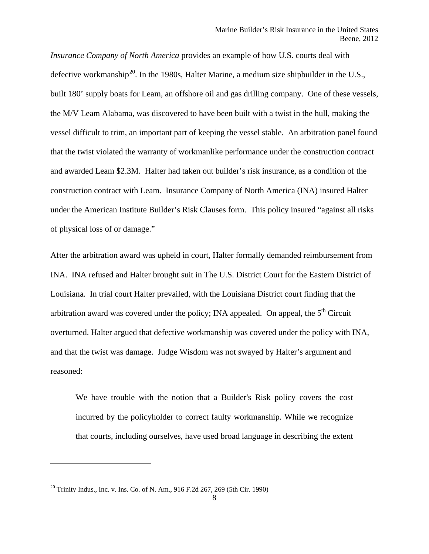*Insurance Company of North America* provides an example of how U.S. courts deal with defective workmanship<sup>20</sup>. In the 1980s, Halter Marine, a medium size shipbuilder in the U.S., built 180' supply boats for Leam, an offshore oil and gas drilling company. One of these vessels, the M/V Leam Alabama, was discovered to have been built with a twist in the hull, making the vessel difficult to trim, an important part of keeping the vessel stable. An arbitration panel found that the twist violated the warranty of workmanlike performance under the construction contract and awarded Leam \$2.3M. Halter had taken out builder's risk insurance, as a condition of the construction contract with Leam. Insurance Company of North America (INA) insured Halter under the American Institute Builder's Risk Clauses form. This policy insured "against all risks of physical loss of or damage."

After the arbitration award was upheld in court, Halter formally demanded reimbursement from INA. INA refused and Halter brought suit in The U.S. District Court for the Eastern District of Louisiana. In trial court Halter prevailed, with the Louisiana District court finding that the arbitration award was covered under the policy; INA appealed. On appeal, the  $5<sup>th</sup>$  Circuit overturned. Halter argued that defective workmanship was covered under the policy with INA, and that the twist was damage. Judge Wisdom was not swayed by Halter's argument and reasoned:

We have trouble with the notion that a Builder's Risk policy covers the cost incurred by the policyholder to correct faulty workmanship. While we recognize that courts, including ourselves, have used broad language in describing the extent

<span id="page-8-0"></span><sup>20</sup> Trinity Indus., Inc. v. Ins. Co. of N. Am., 916 F.2d 267, 269 (5th Cir. 1990)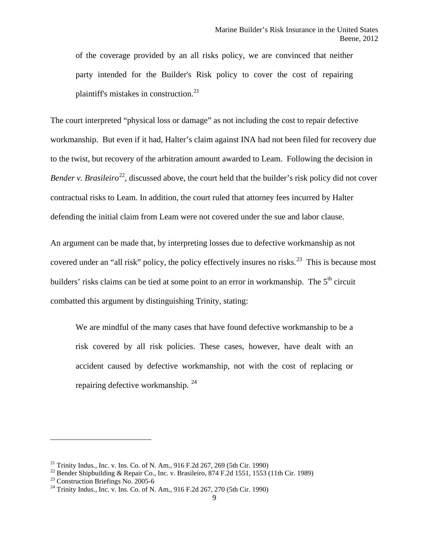of the coverage provided by an all risks policy, we are convinced that neither party intended for the Builder's Risk policy to cover the cost of repairing plaintiff's mistakes in construction. $^{21}$  $^{21}$  $^{21}$ 

The court interpreted "physical loss or damage" as not including the cost to repair defective workmanship. But even if it had, Halter's claim against INA had not been filed for recovery due to the twist, but recovery of the arbitration amount awarded to Leam. Following the decision in *Bender v. Brasileiro*<sup>[22](#page-9-1)</sup>, discussed above, the court held that the builder's risk policy did not cover contractual risks to Leam. In addition, the court ruled that attorney fees incurred by Halter defending the initial claim from Leam were not covered under the sue and labor clause.

An argument can be made that, by interpreting losses due to defective workmanship as not covered under an "all risk" policy, the policy effectively insures no risks.<sup>[23](#page-9-2)</sup> This is because most builders' risks claims can be tied at some point to an error in workmanship. The  $5<sup>th</sup>$  circuit combatted this argument by distinguishing Trinity, stating:

We are mindful of the many cases that have found defective workmanship to be a risk covered by all risk policies. These cases, however, have dealt with an accident caused by defective workmanship, not with the cost of replacing or repairing defective workmanship. [24](#page-9-3)

<span id="page-9-1"></span><span id="page-9-0"></span><sup>&</sup>lt;sup>21</sup> Trinity Indus., Inc. v. Ins. Co. of N. Am., 916 F.2d 267, 269 (5th Cir. 1990)<br>
<sup>22</sup> Bender Shipbuilding & Repair Co., Inc. v. Brasileiro, 874 F.2d 1551, 1553 (11th Cir. 1989)<br>
<sup>23</sup> Construction Briefings No. 2005-6<br>

<span id="page-9-2"></span>

<span id="page-9-3"></span>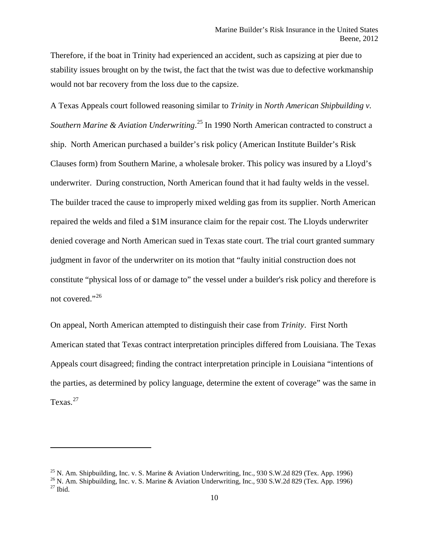Therefore, if the boat in Trinity had experienced an accident, such as capsizing at pier due to stability issues brought on by the twist, the fact that the twist was due to defective workmanship would not bar recovery from the loss due to the capsize.

A Texas Appeals court followed reasoning similar to *Trinity* in *North American Shipbuilding v. Southern Marine & Aviation Underwriting*. [25](#page-10-0) In 1990 North American contracted to construct a ship. North American purchased a builder's risk policy (American Institute Builder's Risk Clauses form) from Southern Marine, a wholesale broker. This policy was insured by a Lloyd's underwriter. During construction, North American found that it had faulty welds in the vessel. The builder traced the cause to improperly mixed welding gas from its supplier. North American repaired the welds and filed a \$1M insurance claim for the repair cost. The Lloyds underwriter denied coverage and North American sued in Texas state court. The trial court granted summary judgment in favor of the underwriter on its motion that "faulty initial construction does not constitute "physical loss of or damage to" the vessel under a builder's risk policy and therefore is not covered."<sup>[26](#page-10-1)</sup>

On appeal, North American attempted to distinguish their case from *Trinity*. First North American stated that Texas contract interpretation principles differed from Louisiana. The Texas Appeals court disagreed; finding the contract interpretation principle in Louisiana "intentions of the parties, as determined by policy language, determine the extent of coverage" was the same in Texas. $27$ 

l

<span id="page-10-2"></span>

<span id="page-10-1"></span><span id="page-10-0"></span><sup>&</sup>lt;sup>25</sup> N. Am. Shipbuilding, Inc. v. S. Marine & Aviation Underwriting, Inc., 930 S.W.2d 829 (Tex. App. 1996) <sup>26</sup> N. Am. Shipbuilding, Inc. v. S. Marine & Aviation Underwriting, Inc., 930 S.W.2d 829 (Tex. App. 1996) <sup>27</sup> Ib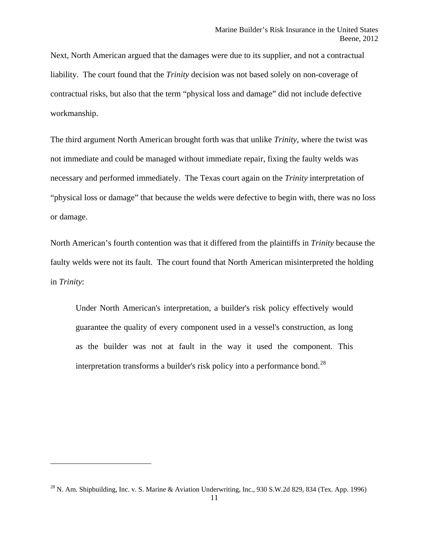Next, North American argued that the damages were due to its supplier, and not a contractual liability. The court found that the *Trinity* decision was not based solely on non-coverage of contractual risks, but also that the term "physical loss and damage" did not include defective workmanship.

The third argument North American brought forth was that unlike *Trinity*, where the twist was not immediate and could be managed without immediate repair, fixing the faulty welds was necessary and performed immediately. The Texas court again on the *Trinity* interpretation of "physical loss or damage" that because the welds were defective to begin with, there was no loss or damage.

North American's fourth contention was that it differed from the plaintiffs in *Trinity* because the faulty welds were not its fault. The court found that North American misinterpreted the holding in *Trinity*:

Under North American's interpretation, a builder's risk policy effectively would guarantee the quality of every component used in a vessel's construction, as long as the builder was not at fault in the way it used the component. This interpretation transforms a builder's risk policy into a performance bond.<sup>[28](#page-11-0)</sup>

<span id="page-11-0"></span><sup>&</sup>lt;sup>28</sup> N. Am. Shipbuilding, Inc. v. S. Marine & Aviation Underwriting, Inc., 930 S.W.2d 829, 834 (Tex. App. 1996)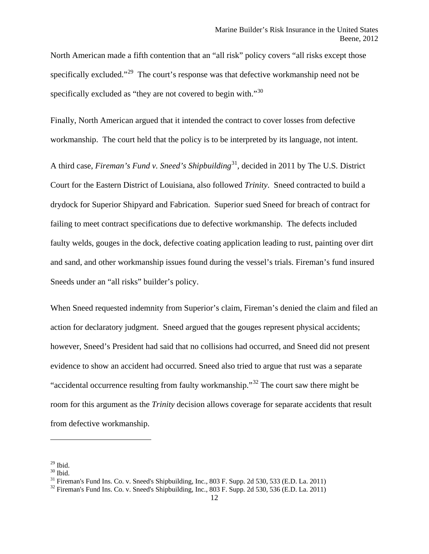North American made a fifth contention that an "all risk" policy covers "all risks except those specifically excluded."<sup>29</sup> The court's response was that defective workmanship need not be specifically excluded as "they are not covered to begin with."<sup>[30](#page-12-1)</sup>

Finally, North American argued that it intended the contract to cover losses from defective workmanship. The court held that the policy is to be interpreted by its language, not intent.

A third case, *Fireman's Fund v. Sneed's Shipbuilding*[31,](#page-12-2) decided in 2011 by The U.S. District Court for the Eastern District of Louisiana, also followed *Trinity*. Sneed contracted to build a drydock for Superior Shipyard and Fabrication. Superior sued Sneed for breach of contract for failing to meet contract specifications due to defective workmanship. The defects included faulty welds, gouges in the dock, defective coating application leading to rust, painting over dirt and sand, and other workmanship issues found during the vessel's trials. Fireman's fund insured Sneeds under an "all risks" builder's policy.

When Sneed requested indemnity from Superior's claim, Fireman's denied the claim and filed an action for declaratory judgment. Sneed argued that the gouges represent physical accidents; however, Sneed's President had said that no collisions had occurred, and Sneed did not present evidence to show an accident had occurred. Sneed also tried to argue that rust was a separate "accidental occurrence resulting from faulty workmanship."[32](#page-12-3) The court saw there might be room for this argument as the *Trinity* decision allows coverage for separate accidents that result from defective workmanship.

<span id="page-12-2"></span>

<span id="page-12-1"></span><span id="page-12-0"></span><sup>&</sup>lt;sup>29</sup> Ibid.<br><sup>30</sup> Ibid.<br><sup>31</sup> Fireman's Fund Ins. Co. v. Sneed's Shipbuilding, Inc., 803 F. Supp. 2d 530, 533 (E.D. La. 2011)<br><sup>32</sup> Fireman's Fund Ins. Co. v. Sneed's Shipbuilding, Inc., 803 F. Supp. 2d 530, 536 (E.D. La. 201

<span id="page-12-3"></span>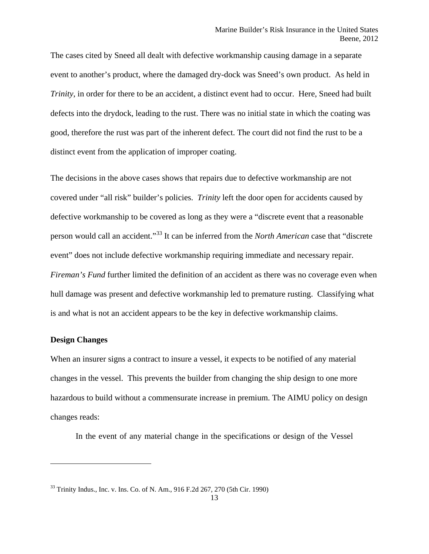The cases cited by Sneed all dealt with defective workmanship causing damage in a separate event to another's product, where the damaged dry-dock was Sneed's own product. As held in *Trinity*, in order for there to be an accident, a distinct event had to occur. Here, Sneed had built defects into the drydock, leading to the rust. There was no initial state in which the coating was good, therefore the rust was part of the inherent defect. The court did not find the rust to be a distinct event from the application of improper coating.

The decisions in the above cases shows that repairs due to defective workmanship are not covered under "all risk" builder's policies. *Trinity* left the door open for accidents caused by defective workmanship to be covered as long as they were a "discrete event that a reasonable person would call an accident."[33](#page-13-0) It can be inferred from the *North American* case that "discrete event" does not include defective workmanship requiring immediate and necessary repair. *Fireman's Fund* further limited the definition of an accident as there was no coverage even when hull damage was present and defective workmanship led to premature rusting. Classifying what is and what is not an accident appears to be the key in defective workmanship claims.

#### **Design Changes**

 $\overline{\phantom{a}}$ 

When an insurer signs a contract to insure a vessel, it expects to be notified of any material changes in the vessel. This prevents the builder from changing the ship design to one more hazardous to build without a commensurate increase in premium. The AIMU policy on design changes reads:

In the event of any material change in the specifications or design of the Vessel

<span id="page-13-0"></span><sup>33</sup> Trinity Indus., Inc. v. Ins. Co. of N. Am., 916 F.2d 267, 270 (5th Cir. 1990)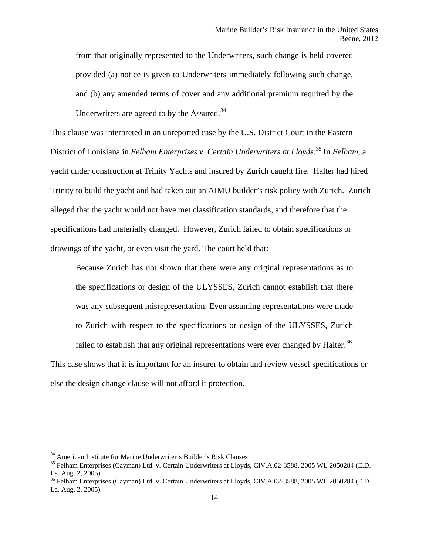from that originally represented to the Underwriters, such change is held covered provided (a) notice is given to Underwriters immediately following such change, and (b) any amended terms of cover and any additional premium required by the Underwriters are agreed to by the Assured.<sup>[34](#page-14-0)</sup>

This clause was interpreted in an unreported case by the U.S. District Court in the Eastern District of Louisiana in *Felham Enterprises v. Certain Underwriters at Lloyds.*[35](#page-14-1) In *Felham*, a yacht under construction at Trinity Yachts and insured by Zurich caught fire. Halter had hired Trinity to build the yacht and had taken out an AIMU builder's risk policy with Zurich. Zurich alleged that the yacht would not have met classification standards, and therefore that the specifications had materially changed. However, Zurich failed to obtain specifications or drawings of the yacht, or even visit the yard. The court held that:

Because Zurich has not shown that there were any original representations as to the specifications or design of the ULYSSES, Zurich cannot establish that there was any subsequent misrepresentation. Even assuming representations were made to Zurich with respect to the specifications or design of the ULYSSES, Zurich failed to establish that any original representations were ever changed by Halter.<sup>[36](#page-14-2)</sup>

This case shows that it is important for an insurer to obtain and review vessel specifications or else the design change clause will not afford it protection.

<span id="page-14-0"></span><sup>&</sup>lt;sup>34</sup> American Institute for Marine Underwriter's Builder's Risk Clauses

<span id="page-14-1"></span><sup>&</sup>lt;sup>35</sup> Felham Enterprises (Cayman) Ltd. v. Certain Underwriters at Lloyds, CIV.A.02-3588, 2005 WL 2050284 (E.D. La. Aug. 2, 2005)

<span id="page-14-2"></span><sup>&</sup>lt;sup>36</sup> Felham Enterprises (Cayman) Ltd. v. Certain Underwriters at Lloyds, CIV.A.02-3588, 2005 WL 2050284 (E.D. La. Aug. 2, 2005)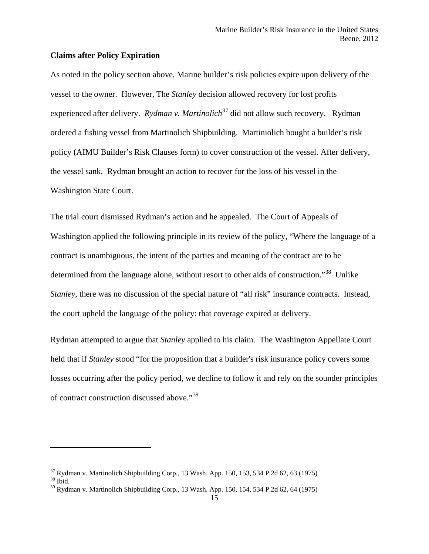#### **Claims after Policy Expiration**

As noted in the policy section above, Marine builder's risk policies expire upon delivery of the vessel to the owner. However, The *Stanley* decision allowed recovery for lost profits experienced after delivery. *Rydman v. Martinolich[37](#page-15-0)* did not allow such recovery. Rydman ordered a fishing vessel from Martinolich Shipbuilding. Martiniolich bought a builder's risk policy (AIMU Builder's Risk Clauses form) to cover construction of the vessel. After delivery, the vessel sank. Rydman brought an action to recover for the loss of his vessel in the Washington State Court.

The trial court dismissed Rydman's action and he appealed. The Court of Appeals of Washington applied the following principle in its review of the policy, "Where the language of a contract is unambiguous, the intent of the parties and meaning of the contract are to be determined from the language alone, without resort to other aids of construction."<sup>38</sup> Unlike *Stanley*, there was no discussion of the special nature of "all risk" insurance contracts. Instead, the court upheld the language of the policy: that coverage expired at delivery.

Rydman attempted to argue that *Stanley* applied to his claim. The Washington Appellate Court held that if *Stanley* stood "for the proposition that a builder's risk insurance policy covers some losses occurring after the policy period, we decline to follow it and rely on the sounder principles of contract construction discussed above."[39](#page-15-2)

l

<span id="page-15-0"></span> $37$  Rydman v. Martinolich Shipbuilding Corp., 13 Wash. App. 150, 153, 534 P.2d 62, 63 (1975)  $38$  Ibid.

<span id="page-15-1"></span>

<span id="page-15-2"></span> $39$  Rydman v. Martinolich Shipbuilding Corp., 13 Wash. App. 150, 154, 534 P.2d 62, 64 (1975)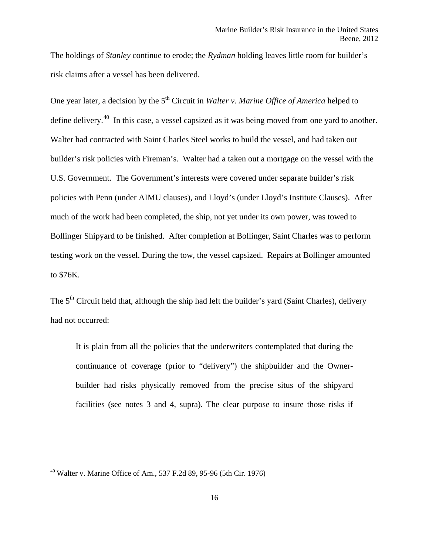The holdings of *Stanley* continue to erode; the *Rydman* holding leaves little room for builder's risk claims after a vessel has been delivered.

One year later, a decision by the 5<sup>th</sup> Circuit in *Walter v. Marine Office of America* helped to define delivery.<sup>40</sup> In this case, a vessel capsized as it was being moved from one yard to another. Walter had contracted with Saint Charles Steel works to build the vessel, and had taken out builder's risk policies with Fireman's. Walter had a taken out a mortgage on the vessel with the U.S. Government. The Government's interests were covered under separate builder's risk policies with Penn (under AIMU clauses), and Lloyd's (under Lloyd's Institute Clauses). After much of the work had been completed, the ship, not yet under its own power, was towed to Bollinger Shipyard to be finished. After completion at Bollinger, Saint Charles was to perform testing work on the vessel. During the tow, the vessel capsized. Repairs at Bollinger amounted to \$76K.

The 5<sup>th</sup> Circuit held that, although the ship had left the builder's yard (Saint Charles), delivery had not occurred:

It is plain from all the policies that the underwriters contemplated that during the continuance of coverage (prior to "delivery") the shipbuilder and the Ownerbuilder had risks physically removed from the precise situs of the shipyard facilities (see notes 3 and 4, supra). The clear purpose to insure those risks if

<span id="page-16-0"></span><sup>40</sup> Walter v. Marine Office of Am., 537 F.2d 89, 95-96 (5th Cir. 1976)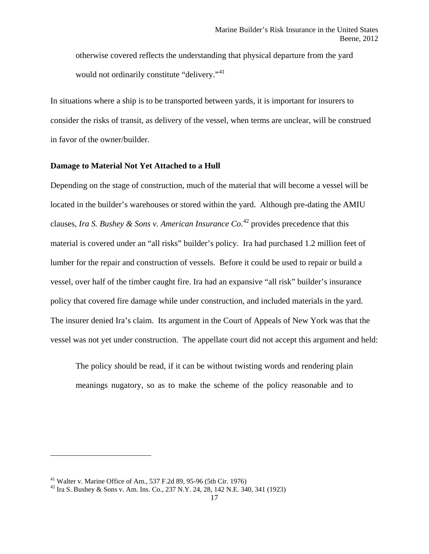otherwise covered reflects the understanding that physical departure from the yard would not ordinarily constitute "delivery."<sup>[41](#page-17-0)</sup>

In situations where a ship is to be transported between yards, it is important for insurers to consider the risks of transit, as delivery of the vessel, when terms are unclear, will be construed in favor of the owner/builder.

#### **Damage to Material Not Yet Attached to a Hull**

Depending on the stage of construction, much of the material that will become a vessel will be located in the builder's warehouses or stored within the yard. Although pre-dating the AMIU clauses, *Ira S. Bushey & Sons v. American Insurance Co*. [42](#page-17-1) provides precedence that this material is covered under an "all risks" builder's policy. Ira had purchased 1.2 million feet of lumber for the repair and construction of vessels. Before it could be used to repair or build a vessel, over half of the timber caught fire. Ira had an expansive "all risk" builder's insurance policy that covered fire damage while under construction, and included materials in the yard. The insurer denied Ira's claim. Its argument in the Court of Appeals of New York was that the vessel was not yet under construction. The appellate court did not accept this argument and held:

The policy should be read, if it can be without twisting words and rendering plain meanings nugatory, so as to make the scheme of the policy reasonable and to

<span id="page-17-1"></span><span id="page-17-0"></span><sup>&</sup>lt;sup>41</sup> Walter v. Marine Office of Am., 537 F.2d 89, 95-96 (5th Cir. 1976)<br><sup>42</sup> Ira S. Bushey & Sons v. Am. Ins. Co., 237 N.Y. 24, 28, 142 N.E. 340, 341 (1923)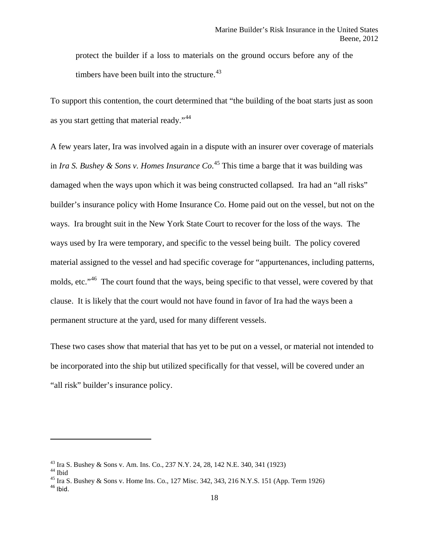protect the builder if a loss to materials on the ground occurs before any of the timbers have been built into the structure. $43$ 

To support this contention, the court determined that "the building of the boat starts just as soon as you start getting that material ready."<sup>[44](#page-18-1)</sup>

A few years later, Ira was involved again in a dispute with an insurer over coverage of materials in *Ira S. Bushey & Sons v. Homes Insurance Co*. [45](#page-18-2) This time a barge that it was building was damaged when the ways upon which it was being constructed collapsed. Ira had an "all risks" builder's insurance policy with Home Insurance Co. Home paid out on the vessel, but not on the ways. Ira brought suit in the New York State Court to recover for the loss of the ways. The ways used by Ira were temporary, and specific to the vessel being built. The policy covered material assigned to the vessel and had specific coverage for "appurtenances, including patterns, molds, etc."<sup>[46](#page-18-3)</sup> The court found that the ways, being specific to that vessel, were covered by that clause. It is likely that the court would not have found in favor of Ira had the ways been a permanent structure at the yard, used for many different vessels.

These two cases show that material that has yet to be put on a vessel, or material not intended to be incorporated into the ship but utilized specifically for that vessel, will be covered under an "all risk" builder's insurance policy.

<span id="page-18-3"></span><span id="page-18-2"></span>

<span id="page-18-1"></span><span id="page-18-0"></span><sup>&</sup>lt;sup>43</sup> Ira S. Bushey & Sons v. Am. Ins. Co., 237 N.Y. 24, 28, 142 N.E. 340, 341 (1923)<br><sup>44</sup> Ibid<br><sup>45</sup> Ira S. Bushey & Sons v. Home Ins. Co., 127 Misc. 342, 343, 216 N.Y.S. 151 (App. Term 1926)<br><sup>46</sup> Ibid.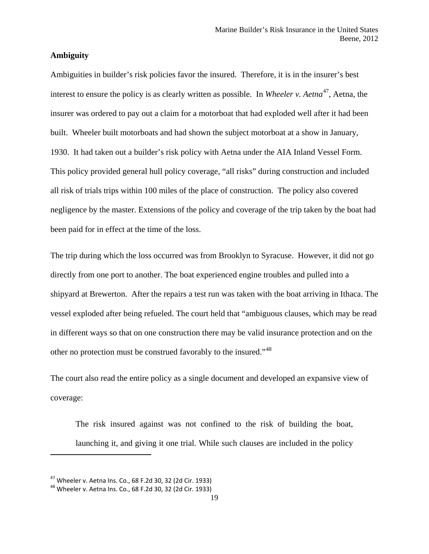#### **Ambiguity**

Ambiguities in builder's risk policies favor the insured. Therefore, it is in the insurer's best interest to ensure the policy is as clearly written as possible. In *Wheeler v. Aetna*<sup>[47](#page-19-0)</sup>, Aetna, the insurer was ordered to pay out a claim for a motorboat that had exploded well after it had been built. Wheeler built motorboats and had shown the subject motorboat at a show in January, 1930. It had taken out a builder's risk policy with Aetna under the AIA Inland Vessel Form. This policy provided general hull policy coverage, "all risks" during construction and included all risk of trials trips within 100 miles of the place of construction. The policy also covered negligence by the master. Extensions of the policy and coverage of the trip taken by the boat had been paid for in effect at the time of the loss.

The trip during which the loss occurred was from Brooklyn to Syracuse. However, it did not go directly from one port to another. The boat experienced engine troubles and pulled into a shipyard at Brewerton. After the repairs a test run was taken with the boat arriving in Ithaca. The vessel exploded after being refueled. The court held that "ambiguous clauses, which may be read in different ways so that on one construction there may be valid insurance protection and on the other no protection must be construed favorably to the insured."<sup>[48](#page-19-1)</sup>

The court also read the entire policy as a single document and developed an expansive view of coverage:

The risk insured against was not confined to the risk of building the boat, launching it, and giving it one trial. While such clauses are included in the policy

<span id="page-19-0"></span><sup>&</sup>lt;sup>47</sup> Wheeler v. Aetna Ins. Co., 68 F.2d 30, 32 (2d Cir. 1933)<br><sup>48</sup> Wheeler v. Aetna Ins. Co., 68 F.2d 30, 32 (2d Cir. 1933)

<span id="page-19-1"></span>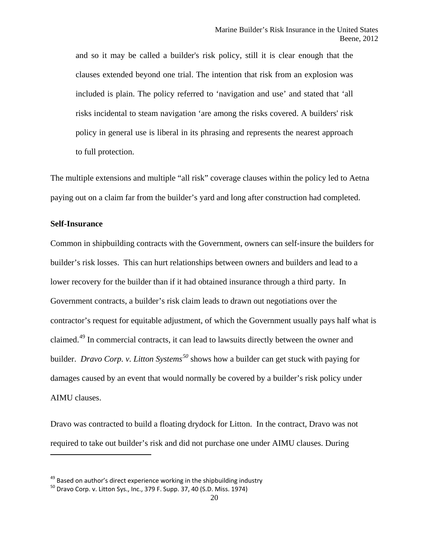and so it may be called a builder's risk policy, still it is clear enough that the clauses extended beyond one trial. The intention that risk from an explosion was included is plain. The policy referred to 'navigation and use' and stated that 'all risks incidental to steam navigation 'are among the risks covered. A builders' risk policy in general use is liberal in its phrasing and represents the nearest approach to full protection.

The multiple extensions and multiple "all risk" coverage clauses within the policy led to Aetna paying out on a claim far from the builder's yard and long after construction had completed.

#### **Self-Insurance**

 $\overline{\phantom{a}}$ 

Common in shipbuilding contracts with the Government, owners can self-insure the builders for builder's risk losses. This can hurt relationships between owners and builders and lead to a lower recovery for the builder than if it had obtained insurance through a third party. In Government contracts, a builder's risk claim leads to drawn out negotiations over the contractor's request for equitable adjustment, of which the Government usually pays half what is claimed.<sup>[49](#page-20-0)</sup> In commercial contracts, it can lead to lawsuits directly between the owner and builder. *Dravo Corp. v. Litton Systems[50](#page-20-1)* shows how a builder can get stuck with paying for damages caused by an event that would normally be covered by a builder's risk policy under AIMU clauses.

Dravo was contracted to build a floating drydock for Litton. In the contract, Dravo was not required to take out builder's risk and did not purchase one under AIMU clauses. During

<span id="page-20-0"></span><sup>&</sup>lt;sup>49</sup> Based on author's direct experience working in the shipbuilding industry  $^{50}$  Dravo Corp. v. Litton Sys., Inc., 379 F. Supp. 37, 40 (S.D. Miss. 1974)

<span id="page-20-1"></span>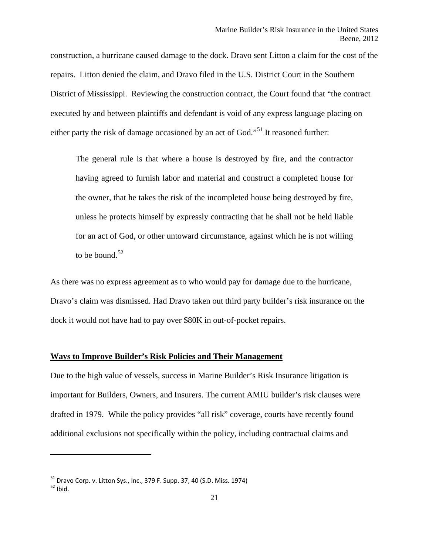construction, a hurricane caused damage to the dock. Dravo sent Litton a claim for the cost of the repairs. Litton denied the claim, and Dravo filed in the U.S. District Court in the Southern District of Mississippi. Reviewing the construction contract, the Court found that "the contract executed by and between plaintiffs and defendant is void of any express language placing on either party the risk of damage occasioned by an act of God."<sup>[51](#page-21-0)</sup> It reasoned further:

The general rule is that where a house is destroyed by fire, and the contractor having agreed to furnish labor and material and construct a completed house for the owner, that he takes the risk of the incompleted house being destroyed by fire, unless he protects himself by expressly contracting that he shall not be held liable for an act of God, or other untoward circumstance, against which he is not willing to be bound. $52$ 

As there was no express agreement as to who would pay for damage due to the hurricane, Dravo's claim was dismissed. Had Dravo taken out third party builder's risk insurance on the dock it would not have had to pay over \$80K in out-of-pocket repairs.

#### **Ways to Improve Builder's Risk Policies and Their Management**

Due to the high value of vessels, success in Marine Builder's Risk Insurance litigation is important for Builders, Owners, and Insurers. The current AMIU builder's risk clauses were drafted in 1979. While the policy provides "all risk" coverage, courts have recently found additional exclusions not specifically within the policy, including contractual claims and

<span id="page-21-1"></span><span id="page-21-0"></span> $^{51}$  Dravo Corp. v. Litton Sys., Inc., 379 F. Supp. 37, 40 (S.D. Miss. 1974)<br> $^{52}$  Ibid